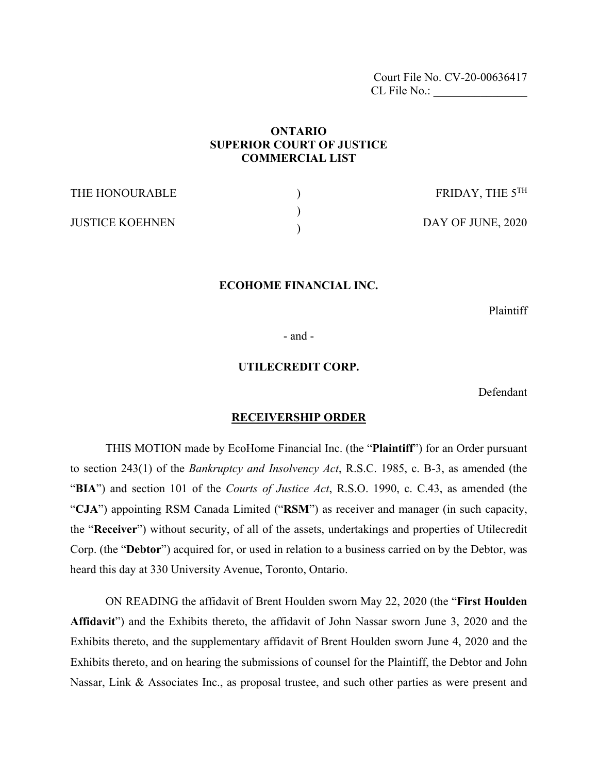Court File No. CV-20-00636417 CL File No.:

# **ONTARIO SUPERIOR COURT OF JUSTICE COMMERCIAL LIST**

| THE HONOURABLE         | FRIDAY, THE $5^{TH}$ |
|------------------------|----------------------|
| <b>JUSTICE KOEHNEN</b> | DAY OF JUNE, 2020    |

#### **ECOHOME FINANCIAL INC.**

Plaintiff

- and -

#### **UTILECREDIT CORP.**

Defendant

#### **RECEIVERSHIP ORDER**

THIS MOTION made by EcoHome Financial Inc. (the "**Plaintiff**") for an Order pursuant to section 243(1) of the *Bankruptcy and Insolvency Act*, R.S.C. 1985, c. B-3, as amended (the "**BIA**") and section 101 of the *Courts of Justice Act*, R.S.O. 1990, c. C.43, as amended (the "**CJA**") appointing RSM Canada Limited ("**RSM**") as receiver and manager (in such capacity, the "**Receiver**") without security, of all of the assets, undertakings and properties of Utilecredit Corp. (the "**Debtor**") acquired for, or used in relation to a business carried on by the Debtor, was heard this day at 330 University Avenue, Toronto, Ontario.

ON READING the affidavit of Brent Houlden sworn May 22, 2020 (the "**First Houlden Affidavit**") and the Exhibits thereto, the affidavit of John Nassar sworn June 3, 2020 and the Exhibits thereto, and the supplementary affidavit of Brent Houlden sworn June 4, 2020 and the Exhibits thereto, and on hearing the submissions of counsel for the Plaintiff, the Debtor and John Nassar, Link & Associates Inc., as proposal trustee, and such other parties as were present and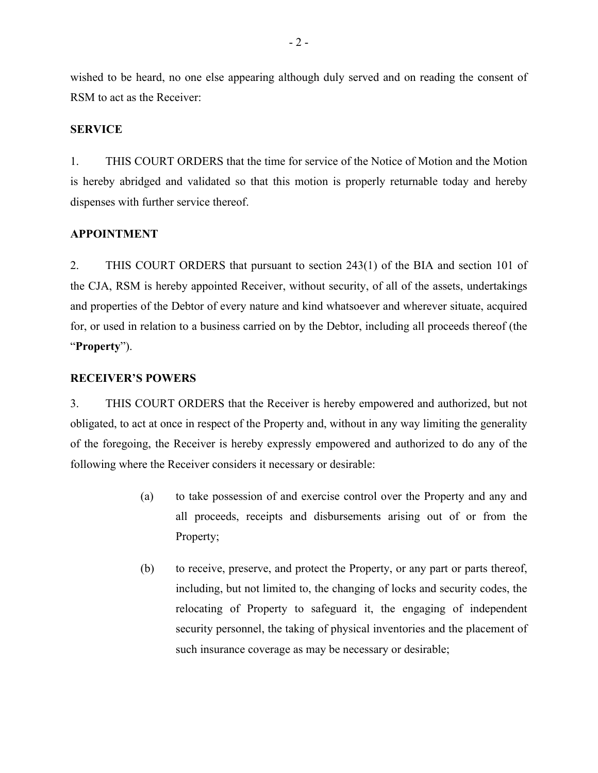wished to be heard, no one else appearing although duly served and on reading the consent of RSM to act as the Receiver:

## **SERVICE**

1. THIS COURT ORDERS that the time for service of the Notice of Motion and the Motion is hereby abridged and validated so that this motion is properly returnable today and hereby dispenses with further service thereof.

# **APPOINTMENT**

2. THIS COURT ORDERS that pursuant to section 243(1) of the BIA and section 101 of the CJA, RSM is hereby appointed Receiver, without security, of all of the assets, undertakings and properties of the Debtor of every nature and kind whatsoever and wherever situate, acquired for, or used in relation to a business carried on by the Debtor, including all proceeds thereof (the "**Property**").

## **RECEIVER'S POWERS**

3. THIS COURT ORDERS that the Receiver is hereby empowered and authorized, but not obligated, to act at once in respect of the Property and, without in any way limiting the generality of the foregoing, the Receiver is hereby expressly empowered and authorized to do any of the following where the Receiver considers it necessary or desirable:

- (a) to take possession of and exercise control over the Property and any and all proceeds, receipts and disbursements arising out of or from the Property;
- (b) to receive, preserve, and protect the Property, or any part or parts thereof, including, but not limited to, the changing of locks and security codes, the relocating of Property to safeguard it, the engaging of independent security personnel, the taking of physical inventories and the placement of such insurance coverage as may be necessary or desirable;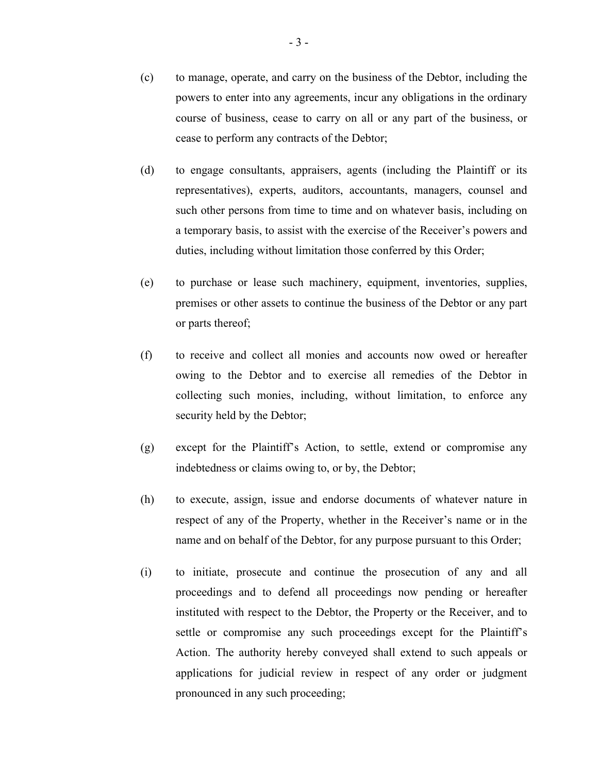- (c) to manage, operate, and carry on the business of the Debtor, including the powers to enter into any agreements, incur any obligations in the ordinary course of business, cease to carry on all or any part of the business, or cease to perform any contracts of the Debtor;
- (d) to engage consultants, appraisers, agents (including the Plaintiff or its representatives), experts, auditors, accountants, managers, counsel and such other persons from time to time and on whatever basis, including on a temporary basis, to assist with the exercise of the Receiver's powers and duties, including without limitation those conferred by this Order;
- (e) to purchase or lease such machinery, equipment, inventories, supplies, premises or other assets to continue the business of the Debtor or any part or parts thereof;
- (f) to receive and collect all monies and accounts now owed or hereafter owing to the Debtor and to exercise all remedies of the Debtor in collecting such monies, including, without limitation, to enforce any security held by the Debtor;
- (g) except for the Plaintiff's Action, to settle, extend or compromise any indebtedness or claims owing to, or by, the Debtor;
- (h) to execute, assign, issue and endorse documents of whatever nature in respect of any of the Property, whether in the Receiver's name or in the name and on behalf of the Debtor, for any purpose pursuant to this Order;
- (i) to initiate, prosecute and continue the prosecution of any and all proceedings and to defend all proceedings now pending or hereafter instituted with respect to the Debtor, the Property or the Receiver, and to settle or compromise any such proceedings except for the Plaintiff's Action. The authority hereby conveyed shall extend to such appeals or applications for judicial review in respect of any order or judgment pronounced in any such proceeding;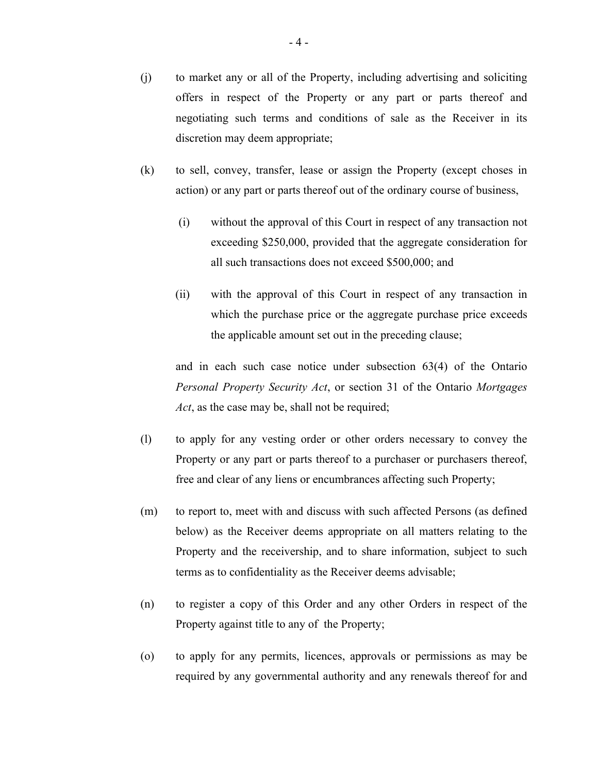- (j) to market any or all of the Property, including advertising and soliciting offers in respect of the Property or any part or parts thereof and negotiating such terms and conditions of sale as the Receiver in its discretion may deem appropriate;
- (k) to sell, convey, transfer, lease or assign the Property (except choses in action) or any part or parts thereof out of the ordinary course of business,
	- (i) without the approval of this Court in respect of any transaction not exceeding \$250,000, provided that the aggregate consideration for all such transactions does not exceed \$500,000; and
	- (ii) with the approval of this Court in respect of any transaction in which the purchase price or the aggregate purchase price exceeds the applicable amount set out in the preceding clause;

and in each such case notice under subsection 63(4) of the Ontario *Personal Property Security Act*, or section 31 of the Ontario *Mortgages Act*, as the case may be, shall not be required;

- (l) to apply for any vesting order or other orders necessary to convey the Property or any part or parts thereof to a purchaser or purchasers thereof, free and clear of any liens or encumbrances affecting such Property;
- (m) to report to, meet with and discuss with such affected Persons (as defined below) as the Receiver deems appropriate on all matters relating to the Property and the receivership, and to share information, subject to such terms as to confidentiality as the Receiver deems advisable;
- (n) to register a copy of this Order and any other Orders in respect of the Property against title to any of the Property;
- (o) to apply for any permits, licences, approvals or permissions as may be required by any governmental authority and any renewals thereof for and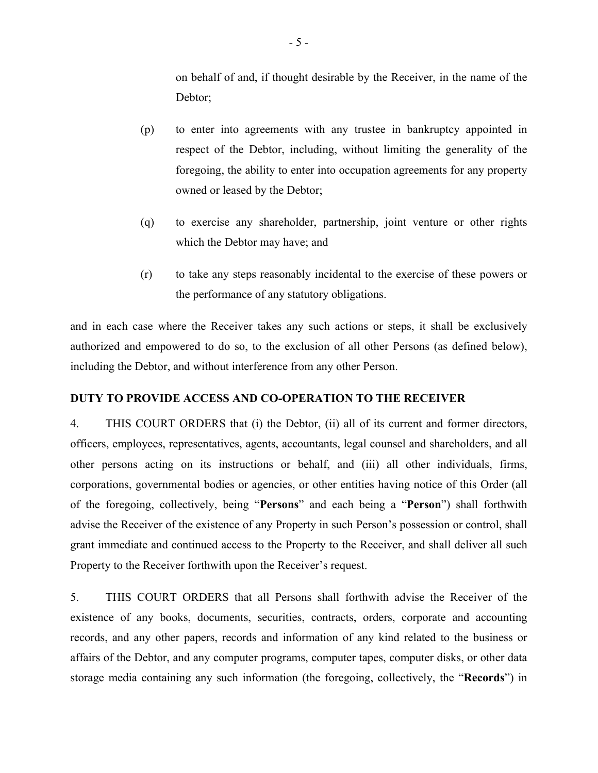on behalf of and, if thought desirable by the Receiver, in the name of the Debtor;

- (p) to enter into agreements with any trustee in bankruptcy appointed in respect of the Debtor, including, without limiting the generality of the foregoing, the ability to enter into occupation agreements for any property owned or leased by the Debtor;
- (q) to exercise any shareholder, partnership, joint venture or other rights which the Debtor may have; and
- (r) to take any steps reasonably incidental to the exercise of these powers or the performance of any statutory obligations.

and in each case where the Receiver takes any such actions or steps, it shall be exclusively authorized and empowered to do so, to the exclusion of all other Persons (as defined below), including the Debtor, and without interference from any other Person.

# **DUTY TO PROVIDE ACCESS AND CO-OPERATION TO THE RECEIVER**

4. THIS COURT ORDERS that (i) the Debtor, (ii) all of its current and former directors, officers, employees, representatives, agents, accountants, legal counsel and shareholders, and all other persons acting on its instructions or behalf, and (iii) all other individuals, firms, corporations, governmental bodies or agencies, or other entities having notice of this Order (all of the foregoing, collectively, being "**Persons**" and each being a "**Person**") shall forthwith advise the Receiver of the existence of any Property in such Person's possession or control, shall grant immediate and continued access to the Property to the Receiver, and shall deliver all such Property to the Receiver forthwith upon the Receiver's request.

5. THIS COURT ORDERS that all Persons shall forthwith advise the Receiver of the existence of any books, documents, securities, contracts, orders, corporate and accounting records, and any other papers, records and information of any kind related to the business or affairs of the Debtor, and any computer programs, computer tapes, computer disks, or other data storage media containing any such information (the foregoing, collectively, the "**Records**") in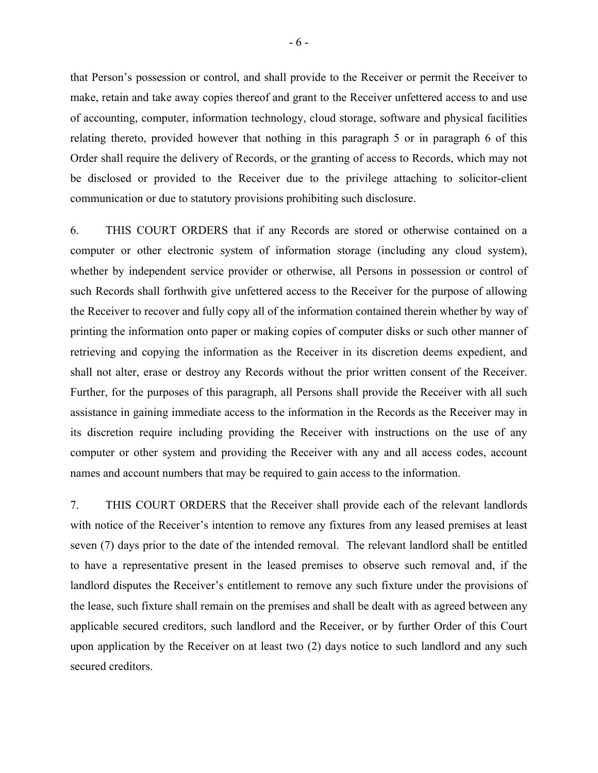that Person's possession or control, and shall provide to the Receiver or permit the Receiver to make, retain and take away copies thereof and grant to the Receiver unfettered access to and use of accounting, computer, information technology, cloud storage, software and physical facilities relating thereto, provided however that nothing in this paragraph 5 or in paragraph 6 of this Order shall require the delivery of Records, or the granting of access to Records, which may not be disclosed or provided to the Receiver due to the privilege attaching to solicitor-client communication or due to statutory provisions prohibiting such disclosure.

6. THIS COURT ORDERS that if any Records are stored or otherwise contained on a computer or other electronic system of information storage (including any cloud system), whether by independent service provider or otherwise, all Persons in possession or control of such Records shall forthwith give unfettered access to the Receiver for the purpose of allowing the Receiver to recover and fully copy all of the information contained therein whether by way of printing the information onto paper or making copies of computer disks or such other manner of retrieving and copying the information as the Receiver in its discretion deems expedient, and shall not alter, erase or destroy any Records without the prior written consent of the Receiver. Further, for the purposes of this paragraph, all Persons shall provide the Receiver with all such assistance in gaining immediate access to the information in the Records as the Receiver may in its discretion require including providing the Receiver with instructions on the use of any computer or other system and providing the Receiver with any and all access codes, account names and account numbers that may be required to gain access to the information.

7. THIS COURT ORDERS that the Receiver shall provide each of the relevant landlords with notice of the Receiver's intention to remove any fixtures from any leased premises at least seven (7) days prior to the date of the intended removal. The relevant landlord shall be entitled to have a representative present in the leased premises to observe such removal and, if the landlord disputes the Receiver's entitlement to remove any such fixture under the provisions of the lease, such fixture shall remain on the premises and shall be dealt with as agreed between any applicable secured creditors, such landlord and the Receiver, or by further Order of this Court upon application by the Receiver on at least two (2) days notice to such landlord and any such secured creditors.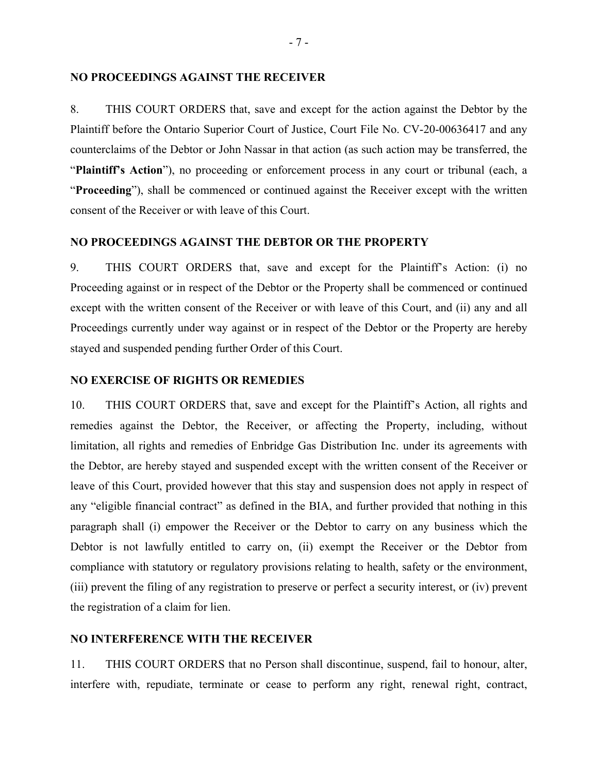#### **NO PROCEEDINGS AGAINST THE RECEIVER**

8. THIS COURT ORDERS that, save and except for the action against the Debtor by the Plaintiff before the Ontario Superior Court of Justice, Court File No. CV-20-00636417 and any counterclaims of the Debtor or John Nassar in that action (as such action may be transferred, the "**Plaintiff's Action**"), no proceeding or enforcement process in any court or tribunal (each, a "**Proceeding**"), shall be commenced or continued against the Receiver except with the written consent of the Receiver or with leave of this Court.

#### **NO PROCEEDINGS AGAINST THE DEBTOR OR THE PROPERTY**

9. THIS COURT ORDERS that, save and except for the Plaintiff's Action: (i) no Proceeding against or in respect of the Debtor or the Property shall be commenced or continued except with the written consent of the Receiver or with leave of this Court, and (ii) any and all Proceedings currently under way against or in respect of the Debtor or the Property are hereby stayed and suspended pending further Order of this Court.

#### **NO EXERCISE OF RIGHTS OR REMEDIES**

10. THIS COURT ORDERS that, save and except for the Plaintiff's Action, all rights and remedies against the Debtor, the Receiver, or affecting the Property, including, without limitation, all rights and remedies of Enbridge Gas Distribution Inc. under its agreements with the Debtor, are hereby stayed and suspended except with the written consent of the Receiver or leave of this Court, provided however that this stay and suspension does not apply in respect of any "eligible financial contract" as defined in the BIA, and further provided that nothing in this paragraph shall (i) empower the Receiver or the Debtor to carry on any business which the Debtor is not lawfully entitled to carry on, (ii) exempt the Receiver or the Debtor from compliance with statutory or regulatory provisions relating to health, safety or the environment, (iii) prevent the filing of any registration to preserve or perfect a security interest, or (iv) prevent the registration of a claim for lien.

#### **NO INTERFERENCE WITH THE RECEIVER**

11. THIS COURT ORDERS that no Person shall discontinue, suspend, fail to honour, alter, interfere with, repudiate, terminate or cease to perform any right, renewal right, contract,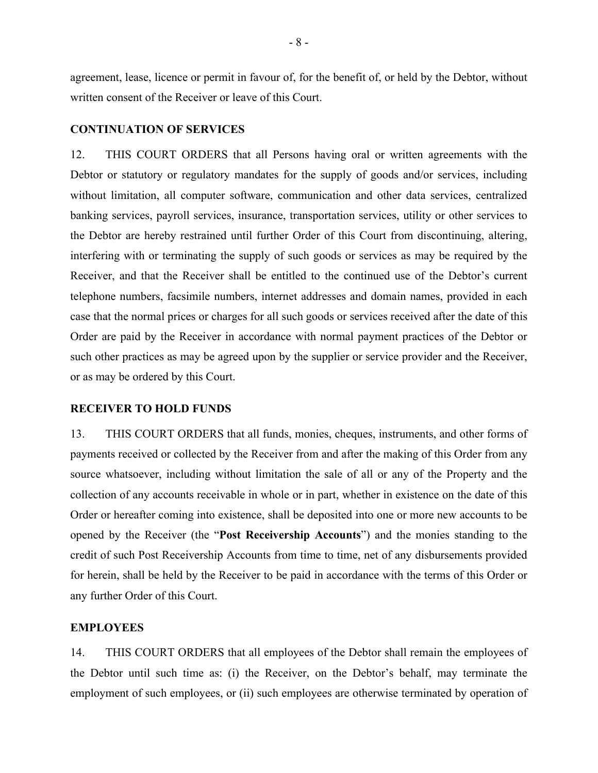agreement, lease, licence or permit in favour of, for the benefit of, or held by the Debtor, without written consent of the Receiver or leave of this Court.

## **CONTINUATION OF SERVICES**

12. THIS COURT ORDERS that all Persons having oral or written agreements with the Debtor or statutory or regulatory mandates for the supply of goods and/or services, including without limitation, all computer software, communication and other data services, centralized banking services, payroll services, insurance, transportation services, utility or other services to the Debtor are hereby restrained until further Order of this Court from discontinuing, altering, interfering with or terminating the supply of such goods or services as may be required by the Receiver, and that the Receiver shall be entitled to the continued use of the Debtor's current telephone numbers, facsimile numbers, internet addresses and domain names, provided in each case that the normal prices or charges for all such goods or services received after the date of this Order are paid by the Receiver in accordance with normal payment practices of the Debtor or such other practices as may be agreed upon by the supplier or service provider and the Receiver, or as may be ordered by this Court.

#### **RECEIVER TO HOLD FUNDS**

13. THIS COURT ORDERS that all funds, monies, cheques, instruments, and other forms of payments received or collected by the Receiver from and after the making of this Order from any source whatsoever, including without limitation the sale of all or any of the Property and the collection of any accounts receivable in whole or in part, whether in existence on the date of this Order or hereafter coming into existence, shall be deposited into one or more new accounts to be opened by the Receiver (the "**Post Receivership Accounts**") and the monies standing to the credit of such Post Receivership Accounts from time to time, net of any disbursements provided for herein, shall be held by the Receiver to be paid in accordance with the terms of this Order or any further Order of this Court.

#### **EMPLOYEES**

14. THIS COURT ORDERS that all employees of the Debtor shall remain the employees of the Debtor until such time as: (i) the Receiver, on the Debtor's behalf, may terminate the employment of such employees, or (ii) such employees are otherwise terminated by operation of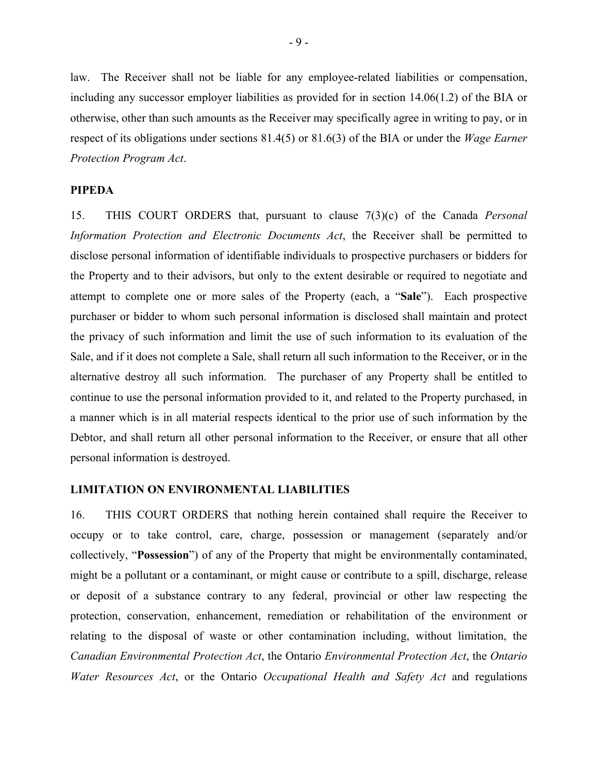law. The Receiver shall not be liable for any employee-related liabilities or compensation, including any successor employer liabilities as provided for in section 14.06(1.2) of the BIA or otherwise, other than such amounts as the Receiver may specifically agree in writing to pay, or in respect of its obligations under sections 81.4(5) or 81.6(3) of the BIA or under the *Wage Earner Protection Program Act*.

## **PIPEDA**

15. THIS COURT ORDERS that, pursuant to clause 7(3)(c) of the Canada *Personal Information Protection and Electronic Documents Act*, the Receiver shall be permitted to disclose personal information of identifiable individuals to prospective purchasers or bidders for the Property and to their advisors, but only to the extent desirable or required to negotiate and attempt to complete one or more sales of the Property (each, a "**Sale**"). Each prospective purchaser or bidder to whom such personal information is disclosed shall maintain and protect the privacy of such information and limit the use of such information to its evaluation of the Sale, and if it does not complete a Sale, shall return all such information to the Receiver, or in the alternative destroy all such information. The purchaser of any Property shall be entitled to continue to use the personal information provided to it, and related to the Property purchased, in a manner which is in all material respects identical to the prior use of such information by the Debtor, and shall return all other personal information to the Receiver, or ensure that all other personal information is destroyed.

#### **LIMITATION ON ENVIRONMENTAL LIABILITIES**

16. THIS COURT ORDERS that nothing herein contained shall require the Receiver to occupy or to take control, care, charge, possession or management (separately and/or collectively, "**Possession**") of any of the Property that might be environmentally contaminated, might be a pollutant or a contaminant, or might cause or contribute to a spill, discharge, release or deposit of a substance contrary to any federal, provincial or other law respecting the protection, conservation, enhancement, remediation or rehabilitation of the environment or relating to the disposal of waste or other contamination including, without limitation, the *Canadian Environmental Protection Act*, the Ontario *Environmental Protection Act*, the *Ontario Water Resources Act*, or the Ontario *Occupational Health and Safety Act* and regulations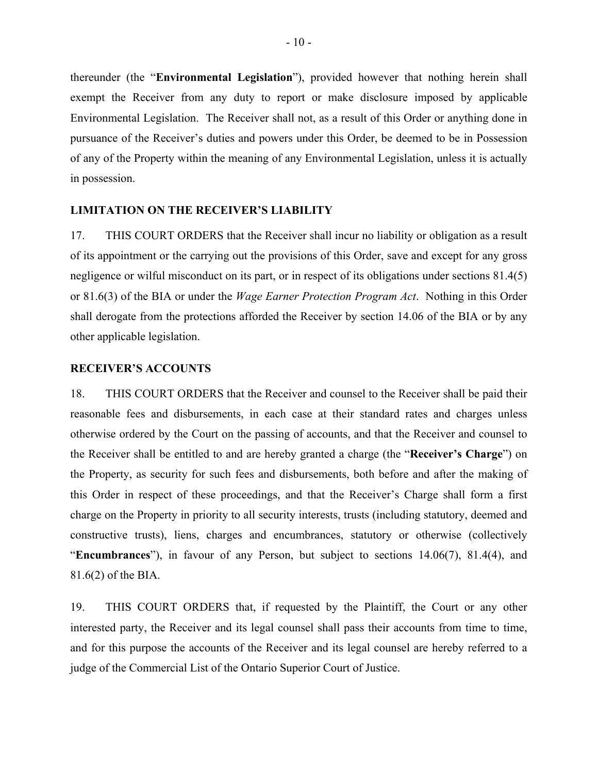thereunder (the "**Environmental Legislation**"), provided however that nothing herein shall exempt the Receiver from any duty to report or make disclosure imposed by applicable Environmental Legislation. The Receiver shall not, as a result of this Order or anything done in pursuance of the Receiver's duties and powers under this Order, be deemed to be in Possession of any of the Property within the meaning of any Environmental Legislation, unless it is actually in possession.

#### **LIMITATION ON THE RECEIVER'S LIABILITY**

17. THIS COURT ORDERS that the Receiver shall incur no liability or obligation as a result of its appointment or the carrying out the provisions of this Order, save and except for any gross negligence or wilful misconduct on its part, or in respect of its obligations under sections 81.4(5) or 81.6(3) of the BIA or under the *Wage Earner Protection Program Act*. Nothing in this Order shall derogate from the protections afforded the Receiver by section 14.06 of the BIA or by any other applicable legislation.

#### **RECEIVER'S ACCOUNTS**

18. THIS COURT ORDERS that the Receiver and counsel to the Receiver shall be paid their reasonable fees and disbursements, in each case at their standard rates and charges unless otherwise ordered by the Court on the passing of accounts, and that the Receiver and counsel to the Receiver shall be entitled to and are hereby granted a charge (the "**Receiver's Charge**") on the Property, as security for such fees and disbursements, both before and after the making of this Order in respect of these proceedings, and that the Receiver's Charge shall form a first charge on the Property in priority to all security interests, trusts (including statutory, deemed and constructive trusts), liens, charges and encumbrances, statutory or otherwise (collectively "**Encumbrances**"), in favour of any Person, but subject to sections 14.06(7), 81.4(4), and 81.6(2) of the BIA.

19. THIS COURT ORDERS that, if requested by the Plaintiff, the Court or any other interested party, the Receiver and its legal counsel shall pass their accounts from time to time, and for this purpose the accounts of the Receiver and its legal counsel are hereby referred to a judge of the Commercial List of the Ontario Superior Court of Justice.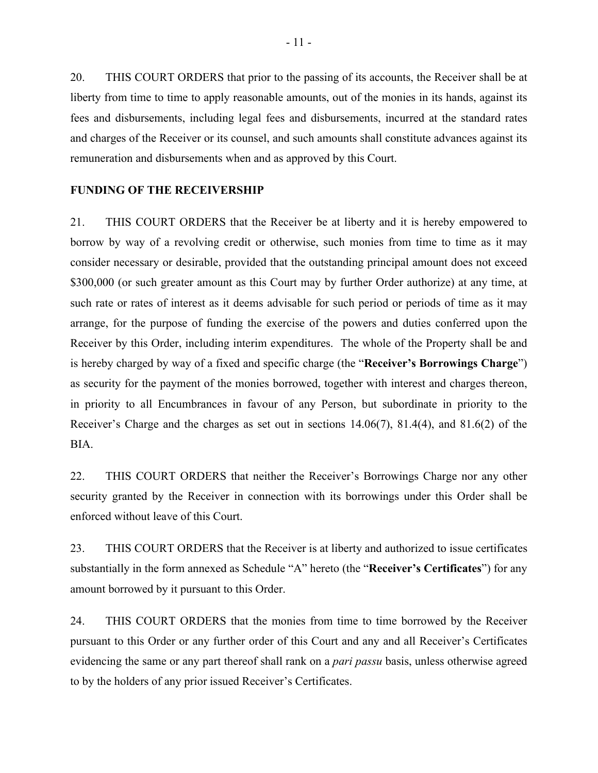20. THIS COURT ORDERS that prior to the passing of its accounts, the Receiver shall be at liberty from time to time to apply reasonable amounts, out of the monies in its hands, against its fees and disbursements, including legal fees and disbursements, incurred at the standard rates and charges of the Receiver or its counsel, and such amounts shall constitute advances against its remuneration and disbursements when and as approved by this Court.

## **FUNDING OF THE RECEIVERSHIP**

21. THIS COURT ORDERS that the Receiver be at liberty and it is hereby empowered to borrow by way of a revolving credit or otherwise, such monies from time to time as it may consider necessary or desirable, provided that the outstanding principal amount does not exceed \$300,000 (or such greater amount as this Court may by further Order authorize) at any time, at such rate or rates of interest as it deems advisable for such period or periods of time as it may arrange, for the purpose of funding the exercise of the powers and duties conferred upon the Receiver by this Order, including interim expenditures. The whole of the Property shall be and is hereby charged by way of a fixed and specific charge (the "**Receiver's Borrowings Charge**") as security for the payment of the monies borrowed, together with interest and charges thereon, in priority to all Encumbrances in favour of any Person, but subordinate in priority to the Receiver's Charge and the charges as set out in sections 14.06(7), 81.4(4), and 81.6(2) of the BIA.

22. THIS COURT ORDERS that neither the Receiver's Borrowings Charge nor any other security granted by the Receiver in connection with its borrowings under this Order shall be enforced without leave of this Court.

23. THIS COURT ORDERS that the Receiver is at liberty and authorized to issue certificates substantially in the form annexed as Schedule "A" hereto (the "**Receiver's Certificates**") for any amount borrowed by it pursuant to this Order.

24. THIS COURT ORDERS that the monies from time to time borrowed by the Receiver pursuant to this Order or any further order of this Court and any and all Receiver's Certificates evidencing the same or any part thereof shall rank on a *pari passu* basis, unless otherwise agreed to by the holders of any prior issued Receiver's Certificates.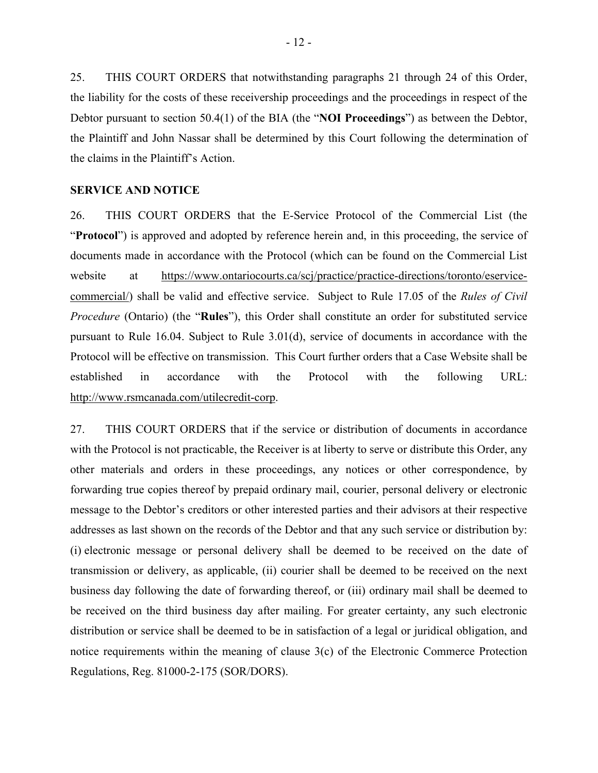25. THIS COURT ORDERS that notwithstanding paragraphs 21 through 24 of this Order, the liability for the costs of these receivership proceedings and the proceedings in respect of the Debtor pursuant to section 50.4(1) of the BIA (the "**NOI Proceedings**") as between the Debtor, the Plaintiff and John Nassar shall be determined by this Court following the determination of the claims in the Plaintiff's Action.

# **SERVICE AND NOTICE**

26. THIS COURT ORDERS that the E-Service Protocol of the Commercial List (the "**Protocol**") is approved and adopted by reference herein and, in this proceeding, the service of documents made in accordance with the Protocol (which can be found on the Commercial List website at https://www.ontariocourts.ca/scj/practice/practice-directions/toronto/eservicecommercial/) shall be valid and effective service. Subject to Rule 17.05 of the *Rules of Civil Procedure* (Ontario) (the "**Rules**"), this Order shall constitute an order for substituted service pursuant to Rule 16.04. Subject to Rule 3.01(d), service of documents in accordance with the Protocol will be effective on transmission. This Court further orders that a Case Website shall be established in accordance with the Protocol with the following URL: http://www.rsmcanada.com/utilecredit-corp.

27. THIS COURT ORDERS that if the service or distribution of documents in accordance with the Protocol is not practicable, the Receiver is at liberty to serve or distribute this Order, any other materials and orders in these proceedings, any notices or other correspondence, by forwarding true copies thereof by prepaid ordinary mail, courier, personal delivery or electronic message to the Debtor's creditors or other interested parties and their advisors at their respective addresses as last shown on the records of the Debtor and that any such service or distribution by: (i) electronic message or personal delivery shall be deemed to be received on the date of transmission or delivery, as applicable, (ii) courier shall be deemed to be received on the next business day following the date of forwarding thereof, or (iii) ordinary mail shall be deemed to be received on the third business day after mailing. For greater certainty, any such electronic distribution or service shall be deemed to be in satisfaction of a legal or juridical obligation, and notice requirements within the meaning of clause 3(c) of the Electronic Commerce Protection Regulations, Reg. 81000-2-175 (SOR/DORS).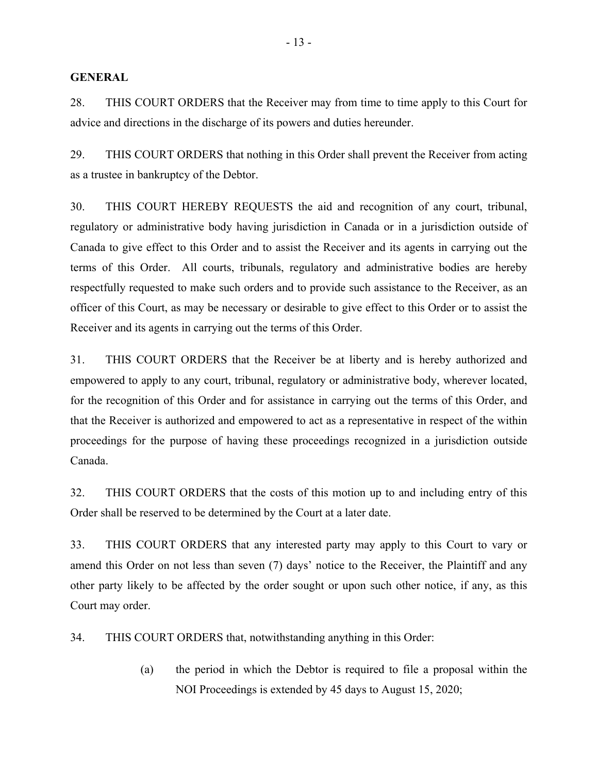#### **GENERAL**

28. THIS COURT ORDERS that the Receiver may from time to time apply to this Court for advice and directions in the discharge of its powers and duties hereunder.

29. THIS COURT ORDERS that nothing in this Order shall prevent the Receiver from acting as a trustee in bankruptcy of the Debtor.

30. THIS COURT HEREBY REQUESTS the aid and recognition of any court, tribunal, regulatory or administrative body having jurisdiction in Canada or in a jurisdiction outside of Canada to give effect to this Order and to assist the Receiver and its agents in carrying out the terms of this Order. All courts, tribunals, regulatory and administrative bodies are hereby respectfully requested to make such orders and to provide such assistance to the Receiver, as an officer of this Court, as may be necessary or desirable to give effect to this Order or to assist the Receiver and its agents in carrying out the terms of this Order.

31. THIS COURT ORDERS that the Receiver be at liberty and is hereby authorized and empowered to apply to any court, tribunal, regulatory or administrative body, wherever located, for the recognition of this Order and for assistance in carrying out the terms of this Order, and that the Receiver is authorized and empowered to act as a representative in respect of the within proceedings for the purpose of having these proceedings recognized in a jurisdiction outside Canada.

32. THIS COURT ORDERS that the costs of this motion up to and including entry of this Order shall be reserved to be determined by the Court at a later date.

33. THIS COURT ORDERS that any interested party may apply to this Court to vary or amend this Order on not less than seven (7) days' notice to the Receiver, the Plaintiff and any other party likely to be affected by the order sought or upon such other notice, if any, as this Court may order.

34. THIS COURT ORDERS that, notwithstanding anything in this Order:

(a) the period in which the Debtor is required to file a proposal within the NOI Proceedings is extended by 45 days to August 15, 2020;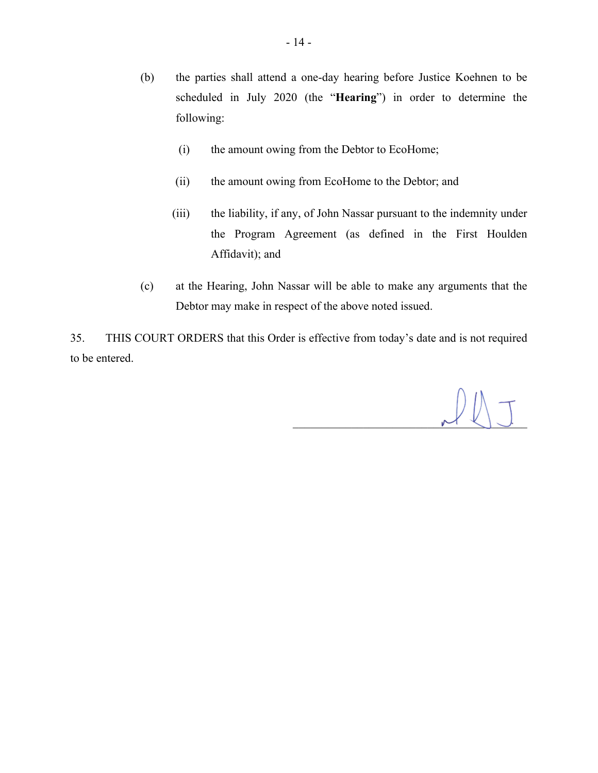- (b) the parties shall attend a one-day hearing before Justice Koehnen to be scheduled in July 2020 (the "**Hearing**") in order to determine the following:
	- (i) the amount owing from the Debtor to EcoHome;
	- (ii) the amount owing from EcoHome to the Debtor; and
	- (iii) the liability, if any, of John Nassar pursuant to the indemnity under the Program Agreement (as defined in the First Houlden Affidavit); and
- (c) at the Hearing, John Nassar will be able to make any arguments that the Debtor may make in respect of the above noted issued.

35. THIS COURT ORDERS that this Order is effective from today's date and is not required to be entered.

 $M$   $\cup$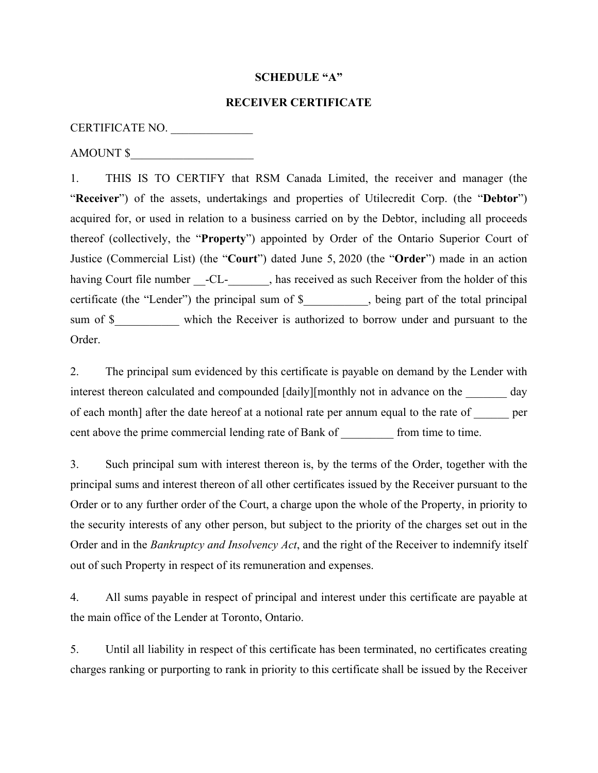#### **SCHEDULE "A"**

## **RECEIVER CERTIFICATE**

## CERTIFICATE NO. \_\_\_\_\_\_\_\_\_\_\_\_\_\_

AMOUNT \$

1. THIS IS TO CERTIFY that RSM Canada Limited, the receiver and manager (the "**Receiver**") of the assets, undertakings and properties of Utilecredit Corp. (the "**Debtor**") acquired for, or used in relation to a business carried on by the Debtor, including all proceeds thereof (collectively, the "**Property**") appointed by Order of the Ontario Superior Court of Justice (Commercial List) (the "**Court**") dated June 5, 2020 (the "**Order**") made in an action having Court file number -CL-, has received as such Receiver from the holder of this certificate (the "Lender") the principal sum of \$ \_\_\_\_\_\_, being part of the total principal sum of \$\_\_\_\_\_\_\_\_\_\_\_ which the Receiver is authorized to borrow under and pursuant to the Order.

2. The principal sum evidenced by this certificate is payable on demand by the Lender with interest thereon calculated and compounded [daily][monthly not in advance on the \_\_\_\_\_\_\_ day of each month] after the date hereof at a notional rate per annum equal to the rate of \_\_\_\_\_\_ per cent above the prime commercial lending rate of Bank of \_\_\_\_\_\_\_\_\_ from time to time.

3. Such principal sum with interest thereon is, by the terms of the Order, together with the principal sums and interest thereon of all other certificates issued by the Receiver pursuant to the Order or to any further order of the Court, a charge upon the whole of the Property, in priority to the security interests of any other person, but subject to the priority of the charges set out in the Order and in the *Bankruptcy and Insolvency Act*, and the right of the Receiver to indemnify itself out of such Property in respect of its remuneration and expenses.

4. All sums payable in respect of principal and interest under this certificate are payable at the main office of the Lender at Toronto, Ontario.

5. Until all liability in respect of this certificate has been terminated, no certificates creating charges ranking or purporting to rank in priority to this certificate shall be issued by the Receiver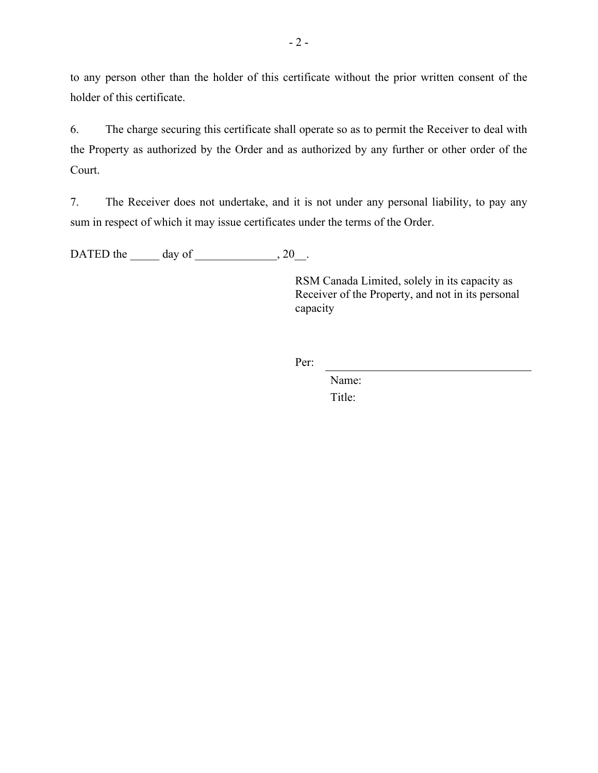to any person other than the holder of this certificate without the prior written consent of the holder of this certificate.

6. The charge securing this certificate shall operate so as to permit the Receiver to deal with the Property as authorized by the Order and as authorized by any further or other order of the Court.

7. The Receiver does not undertake, and it is not under any personal liability, to pay any sum in respect of which it may issue certificates under the terms of the Order.

DATED the day of 3.20.

RSM Canada Limited, solely in its capacity as Receiver of the Property, and not in its personal capacity

Per:

 Name: Title: